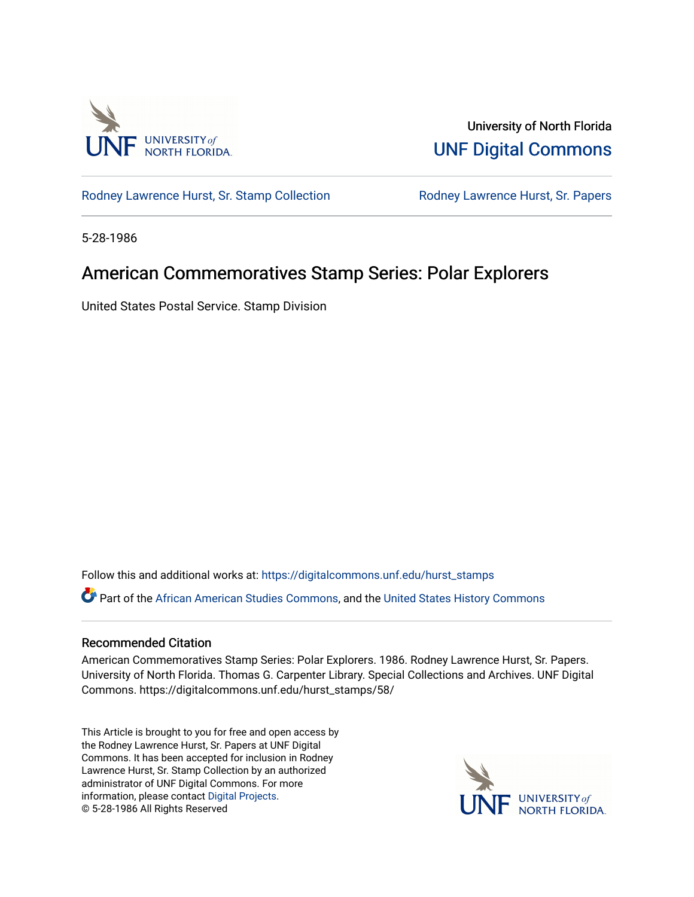

University of North Florida [UNF Digital Commons](https://digitalcommons.unf.edu/) 

[Rodney Lawrence Hurst, Sr. Stamp Collection](https://digitalcommons.unf.edu/hurst_stamps) **Rodney Lawrence Hurst, Sr. Papers** 

5-28-1986

## American Commemoratives Stamp Series: Polar Explorers

United States Postal Service. Stamp Division

Follow this and additional works at: [https://digitalcommons.unf.edu/hurst\\_stamps](https://digitalcommons.unf.edu/hurst_stamps?utm_source=digitalcommons.unf.edu%2Fhurst_stamps%2F58&utm_medium=PDF&utm_campaign=PDFCoverPages)

Part of the [African American Studies Commons,](http://network.bepress.com/hgg/discipline/567?utm_source=digitalcommons.unf.edu%2Fhurst_stamps%2F58&utm_medium=PDF&utm_campaign=PDFCoverPages) and the [United States History Commons](http://network.bepress.com/hgg/discipline/495?utm_source=digitalcommons.unf.edu%2Fhurst_stamps%2F58&utm_medium=PDF&utm_campaign=PDFCoverPages) 

#### Recommended Citation

American Commemoratives Stamp Series: Polar Explorers. 1986. Rodney Lawrence Hurst, Sr. Papers. University of North Florida. Thomas G. Carpenter Library. Special Collections and Archives. UNF Digital Commons. https://digitalcommons.unf.edu/hurst\_stamps/58/

This Article is brought to you for free and open access by the Rodney Lawrence Hurst, Sr. Papers at UNF Digital Commons. It has been accepted for inclusion in Rodney Lawrence Hurst, Sr. Stamp Collection by an authorized administrator of UNF Digital Commons. For more information, please contact [Digital Projects](mailto:lib-digital@unf.edu). © 5-28-1986 All Rights Reserved

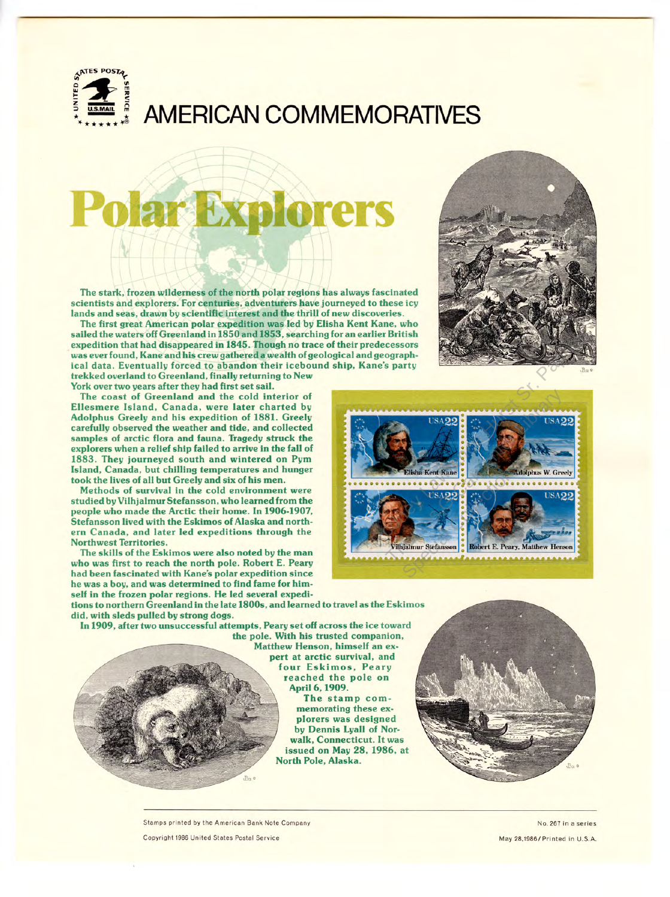

# **AMERICAN COMMEMORATIVES**

# **ar Explorers**

The stark, frozen wilderness of the north polar regions has always fascinated scientists and explorers. For centuries, adventurers have journeyed to these icy lands and seas, drawn by scientific interest and the thrill of new discoveries.

The first great American polar expedition was led by Elisha Kent Kane, who sailed the waters off Greenland in 1850 and 1853, searching for an earlier British expedition that had disappeared in 1845. Though no trace of their predecessors was ever found, Kane and his crew gathered a wealth of geological and geographical data. Eventually forced to abandon their icebound ship, Kane's party trekked overland to Greenland, finally returning to New York over two years after they had first set sail.

The coast of Greenland and the cold interior of Ellesmere Island, Canada, were later charted by Adolphus Greely and his expedition of **1881.** Greely carefully observed the weather and tide, and collected samples of arctic flora and fauna. Tragedy struck the explorers when a relief ship failed to arrive in the fall of 1883. They journeyed south and wintered on Pym Island, Canada, but chilling temperatures and hunger took the lives of all but Greely and six of his men.

Methods of survival in the cold environment were studied by Vilhjalmur Stefansson, who learned from the people who made the Arctic their home. In 1906-1907, Stefansson lived with the Eskimos of Alaska and northern Canada, and later led expeditions through the Northwest Territories.

The skills of the Eskimos were also noted by the man who was first to reach the north pole. Robert E. Peary had been fascinated with Kane's polar expedition since he was a boy, and was determined to find fame for himself in the frozen polar regions. He led several expedi-





tions to northern Greenland in the late 1800s, and learned to travel as the Eskimos did, with sleds pulled by strong dogs.

In 1909, after two unsuccessful attempts, Peary set off across the ice toward

 $B$ co  $\epsilon$ 

the pole. With his trusted companion, Matthew Henson, himself an expert at arctic survival, and four Eskimos, Peary reached the pole on April 6, 1909.

The stamp commemorating these explorers was designed by Dennis Lyall of Norwalk, Connecticut. It was issued on May 28, 1986, at North Pole, Alaska.

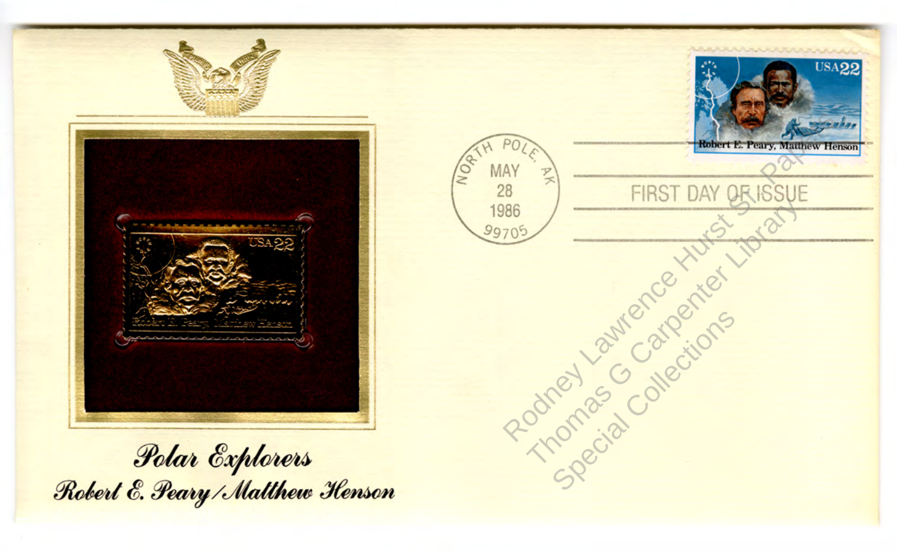



Polar Explorers<br>Robert E. Peary / Matthew Henson

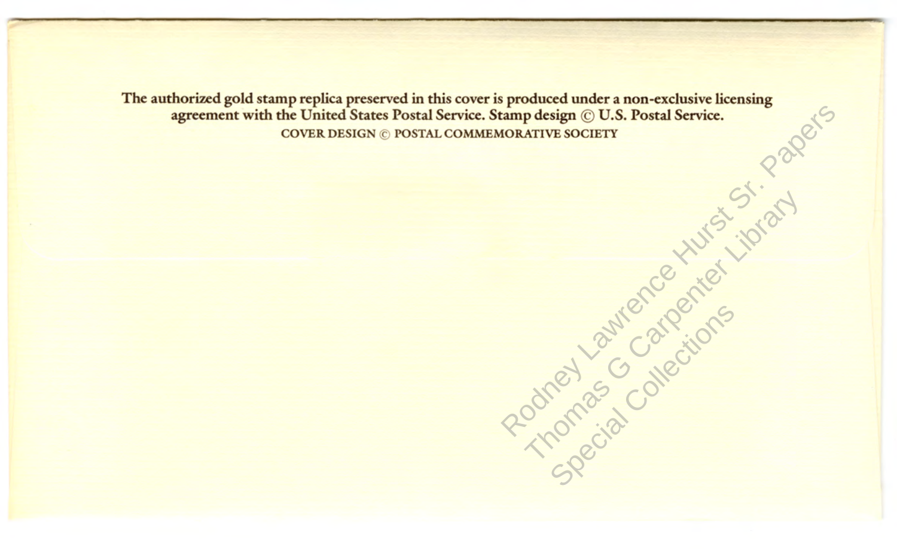Rodney Lawrence Hurst Strate The authorized gold stamp replica preserved in this cover is produced under a non-exclusive licensing agreement with the United States Postal Service. Stamp design © U.S. Postal Service. COVER DESIGN © POSTAL COMMEMORATIVE SOCIETY

Thomas G Carpenter Library

Special Categions